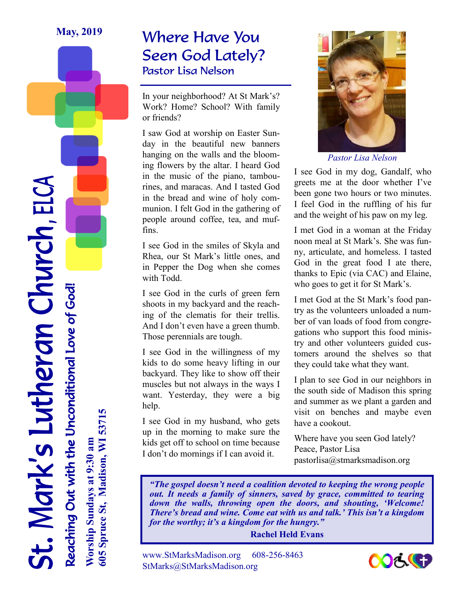### Where Have You Seen God Lately? Pastor Lisa Nelson

In your neighborhood? At St Mark's? Work? Home? School? With family or friends?

I saw God at worship on Easter Sunday in the beautiful new banners hanging on the walls and the blooming flowers by the altar. I heard God in the music of the piano, tambourines, and maracas. And I tasted God in the bread and wine of holy communion. I felt God in the gathering of people around coffee, tea, and muffins.

I see God in the smiles of Skyla and Rhea, our St Mark's little ones, and in Pepper the Dog when she comes with Todd.

I see God in the curls of green fern shoots in my backyard and the reaching of the clematis for their trellis. And I don't even have a green thumb. Those perennials are tough.

I see God in the willingness of my kids to do some heavy lifting in our backyard. They like to show off their muscles but not always in the ways I want. Yesterday, they were a big help.

I see God in my husband, who gets up in the morning to make sure the kids get off to school on time because I don't do mornings if I can avoid it.



*Pastor Lisa Nelson* 

I see God in my dog, Gandalf, who greets me at the door whether I've been gone two hours or two minutes. I feel God in the ruffling of his fur and the weight of his paw on my leg.

I met God in a woman at the Friday noon meal at St Mark's. She was funny, articulate, and homeless. I tasted God in the great food I ate there, thanks to Epic (via CAC) and Elaine, who goes to get it for St Mark's.

I met God at the St Mark's food pantry as the volunteers unloaded a number of van loads of food from congregations who support this food ministry and other volunteers guided customers around the shelves so that they could take what they want.

I plan to see God in our neighbors in the south side of Madison this spring and summer as we plant a garden and visit on benches and maybe even have a cookout.

Where have you seen God lately? Peace, Pastor Lisa pastorlisa@stmarksmadison.org

*"The gospel doesn't need a coalition devoted to keeping the wrong people out. It needs a family of sinners, saved by grace, committed to tearing down the walls, throwing open the doors, and shouting, 'Welcome! There's bread and wine. Come eat with us and talk.' This isn't a kingdom for the worthy; it's a kingdom for the hungry."* 

**Rachel Held Evans** 

www.StMarksMadison.org 608-256-8463 StMarks@StMarksMadison.org



.. Mark's Lutheran Church, ELCA Reaching Out with the Unconditional Love of God!

Reaching Out with the Unconditional Love of God! **Worship Sundays at 9:30 am** 605 Spruce St, Madison, WI 53715 **605 Spruce St, Madison, WI 53715** Worship Sundays at 9:30 am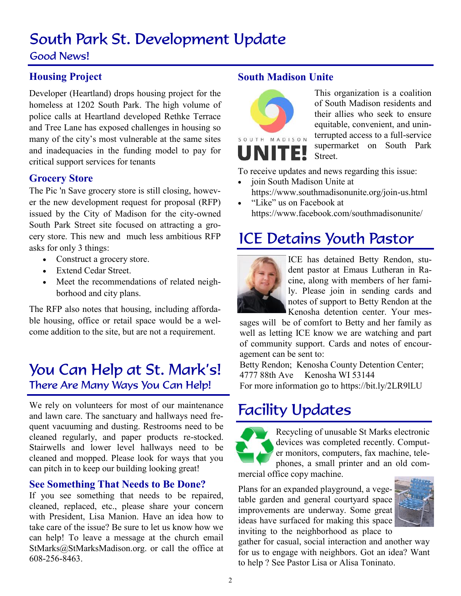## South Park St. Development Update

### Good News!

#### **Housing Project**

Developer (Heartland) drops housing project for the homeless at 1202 South Park. The high volume of police calls at Heartland developed Rethke Terrace and Tree Lane has exposed challenges in housing so many of the city's most vulnerable at the same sites and inadequacies in the funding model to pay for critical support services for tenants

#### **Grocery Store**

The Pic 'n Save grocery store is still closing, however the new development request for proposal (RFP) issued by the City of Madison for the city-owned South Park Street site focused on attracting a grocery store. This new and much less ambitious RFP asks for only 3 things:

- Construct a grocery store.
- Extend Cedar Street.
- Meet the recommendations of related neighborhood and city plans.

The RFP also notes that housing, including affordable housing, office or retail space would be a welcome addition to the site, but are not a requirement.

### You Can Help at St. Mark's! There Are Many Ways You Can Help!

We rely on volunteers for most of our maintenance and lawn care. The sanctuary and hallways need frequent vacuuming and dusting. Restrooms need to be cleaned regularly, and paper products re-stocked. Stairwells and lower level hallways need to be cleaned and mopped. Please look for ways that you can pitch in to keep our building looking great!

#### **See Something That Needs to Be Done?**

If you see something that needs to be repaired, cleaned, replaced, etc., please share your concern with President, Lisa Manion. Have an idea how to take care of the issue? Be sure to let us know how we can help! To leave a message at the church email StMarks@StMarksMadison.org. or call the office at 608-256-8463.

#### **South Madison Unite**



This organization is a coalition of South Madison residents and their allies who seek to ensure equitable, convenient, and uninterrupted access to a full-service supermarket on South Park Street.

To receive updates and news regarding this issue:

- join South Madison Unite at https://www.southmadisonunite.org/join-us.html
- "Like" us on Facebook at https://www.facebook.com/southmadisonunite/

## ICE Detains Youth Pastor



ICE has detained Betty Rendon, student pastor at Emaus Lutheran in Racine, along with members of her family. Please join in sending cards and notes of support to Betty Rendon at the Kenosha detention center. Your mes-

sages will be of comfort to Betty and her family as well as letting ICE know we are watching and part of community support. Cards and notes of encouragement can be sent to:

Betty Rendon; Kenosha County Detention Center; 4777 88th Ave Kenosha WI 53144 For more information go to <https://bit.ly/2LR9lLU>

### Facility Updates

Recycling of unusable St Marks electronic devices was completed recently. Computer monitors, computers, fax machine, telephones, a small printer and an old com-

mercial office copy machine.

Plans for an expanded playground, a vegetable garden and general courtyard space improvements are underway. Some great ideas have surfaced for making this space inviting to the neighborhood as place to



gather for casual, social interaction and another way for us to engage with neighbors. Got an idea? Want to help ? See Pastor Lisa or Alisa Toninato.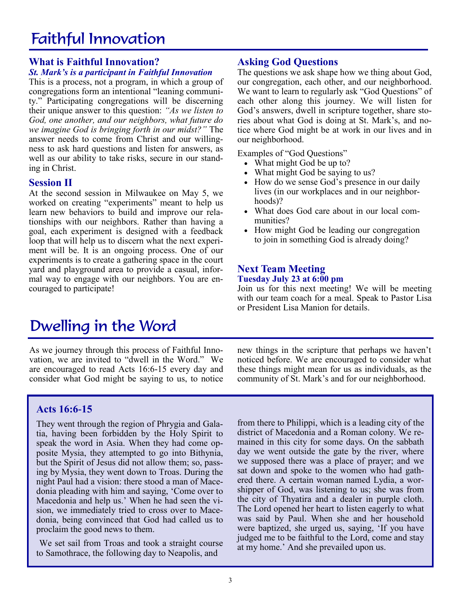# Faithful Innovation

#### **What is Faithful Innovation?**

#### *St. Mark's is a participant in Faithful Innovation*

This is a process, not a program, in which a group of congregations form an intentional "leaning community." Participating congregations will be discerning their unique answer to this question: *"As we listen to God, one another, and our neighbors, what future do we imagine God is bringing forth in our midst?"* The answer needs to come from Christ and our willingness to ask hard questions and listen for answers, as well as our ability to take risks, secure in our standing in Christ.

#### **Session II**

At the second session in Milwaukee on May 5, we worked on creating "experiments" meant to help us learn new behaviors to build and improve our relationships with our neighbors. Rather than having a goal, each experiment is designed with a feedback loop that will help us to discern what the next experiment will be. It is an ongoing process. One of our experiments is to create a gathering space in the court yard and playground area to provide a casual, informal way to engage with our neighbors. You are encouraged to participate!

# Dwelling in the Word

As we journey through this process of Faithful Innovation, we are invited to "dwell in the Word." We are encouraged to read Acts 16:6-15 every day and consider what God might be saying to us, to notice new things in the scripture that perhaps we haven't noticed before. We are encouraged to consider what these things might mean for us as individuals, as the community of St. Mark's and for our neighborhood.

### **Acts 16:6-15**

They went through the region of Phrygia and Galatia, having been forbidden by the Holy Spirit to speak the word in Asia. When they had come opposite Mysia, they attempted to go into Bithynia, but the Spirit of Jesus did not allow them; so, passing by Mysia, they went down to Troas. During the night Paul had a vision: there stood a man of Macedonia pleading with him and saying, 'Come over to Macedonia and help us.' When he had seen the vision, we immediately tried to cross over to Macedonia, being convinced that God had called us to proclaim the good news to them.

We set sail from Troas and took a straight course to Samothrace, the following day to Neapolis, and

from there to Philippi, which is a leading city of the district of Macedonia and a Roman colony. We remained in this city for some days. On the sabbath day we went outside the gate by the river, where we supposed there was a place of prayer; and we sat down and spoke to the women who had gathered there. A certain woman named Lydia, a worshipper of God, was listening to us; she was from the city of Thyatira and a dealer in purple cloth. The Lord opened her heart to listen eagerly to what was said by Paul. When she and her household were baptized, she urged us, saying, 'If you have judged me to be faithful to the Lord, come and stay at my home.' And she prevailed upon us.

#### **Asking God Questions**

The questions we ask shape how we thing about God, our congregation, each other, and our neighborhood. We want to learn to regularly ask "God Questions" of each other along this journey. We will listen for God's answers, dwell in scripture together, share stories about what God is doing at St. Mark's, and notice where God might be at work in our lives and in our neighborhood.

Examples of "God Questions"

- What might God be up to?
- What might God be saying to us?
- How do we sense God's presence in our daily lives (in our workplaces and in our neighborhoods)?
- What does God care about in our local communities?
- How might God be leading our congregation to join in something God is already doing?

#### **Next Team Meeting Tuesday July 23 at 6:00 pm**

Join us for this next meeting! We will be meeting with our team coach for a meal. Speak to Pastor Lisa or President Lisa Manion for details.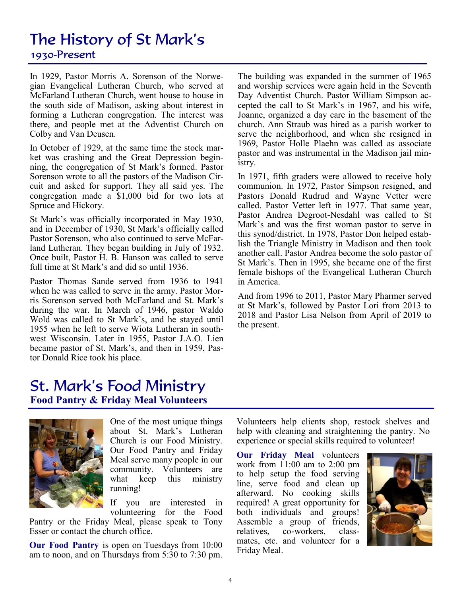### The History of St Mark's 1930-Present

In 1929, Pastor Morris A. Sorenson of the Norwegian Evangelical Lutheran Church, who served at McFarland Lutheran Church, went house to house in the south side of Madison, asking about interest in forming a Lutheran congregation. The interest was there, and people met at the Adventist Church on Colby and Van Deusen.

In October of 1929, at the same time the stock market was crashing and the Great Depression beginning, the congregation of St Mark's formed. Pastor Sorenson wrote to all the pastors of the Madison Circuit and asked for support. They all said yes. The congregation made a \$1,000 bid for two lots at Spruce and Hickory.

St Mark's was officially incorporated in May 1930, and in December of 1930, St Mark's officially called Pastor Sorenson, who also continued to serve McFarland Lutheran. They began building in July of 1932. Once built, Pastor H. B. Hanson was called to serve full time at St Mark's and did so until 1936.

Pastor Thomas Sande served from 1936 to 1941 when he was called to serve in the army. Pastor Morris Sorenson served both McFarland and St. Mark's during the war. In March of 1946, pastor Waldo Wold was called to St Mark's, and he stayed until 1955 when he left to serve Wiota Lutheran in southwest Wisconsin. Later in 1955, Pastor J.A.O. Lien became pastor of St. Mark's, and then in 1959, Pastor Donald Rice took his place.

The building was expanded in the summer of 1965 and worship services were again held in the Seventh Day Adventist Church. Pastor William Simpson accepted the call to St Mark's in 1967, and his wife, Joanne, organized a day care in the basement of the church. Ann Straub was hired as a parish worker to serve the neighborhood, and when she resigned in 1969, Pastor Holle Plaehn was called as associate pastor and was instrumental in the Madison jail ministry.

In 1971, fifth graders were allowed to receive holy communion. In 1972, Pastor Simpson resigned, and Pastors Donald Rudrud and Wayne Vetter were called. Pastor Vetter left in 1977. That same year, Pastor Andrea Degroot-Nesdahl was called to St Mark's and was the first woman pastor to serve in this synod/district. In 1978, Pastor Don helped establish the Triangle Ministry in Madison and then took another call. Pastor Andrea become the solo pastor of St Mark's. Then in 1995, she became one of the first female bishops of the Evangelical Lutheran Church in America.

And from 1996 to 2011, Pastor Mary Pharmer served at St Mark's, followed by Pastor Lori from 2013 to 2018 and Pastor Lisa Nelson from April of 2019 to the present.

### St. Mark's Food Ministry **Food Pantry & Friday Meal Volunteers**



One of the most unique things about St. Mark's Lutheran Church is our Food Ministry. Our Food Pantry and Friday Meal serve many people in our community. Volunteers are what keep this ministry running!

If you are interested in volunteering for the Food

Pantry or the Friday Meal, please speak to Tony Esser or contact the church office.

**Our Food Pantry** is open on Tuesdays from 10:00 am to noon, and on Thursdays from 5:30 to 7:30 pm.

Volunteers help clients shop, restock shelves and help with cleaning and straightening the pantry. No experience or special skills required to volunteer!

**Our Friday Meal** volunteers work from 11:00 am to 2:00 pm to help setup the food serving line, serve food and clean up afterward. No cooking skills required! A great opportunity for both individuals and groups! Assemble a group of friends, relatives, co-workers, classmates, etc. and volunteer for a Friday Meal.

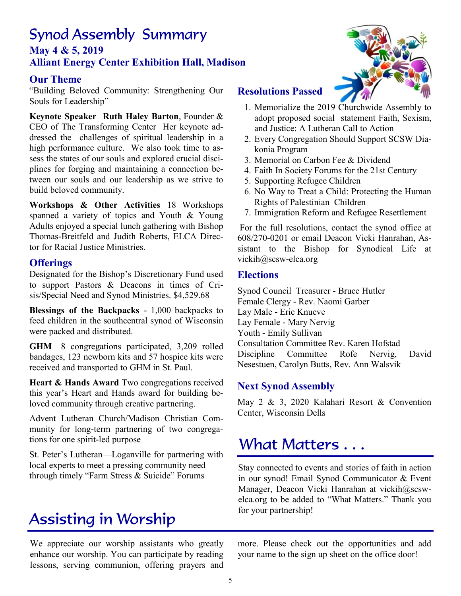### Synod Assembly Summary **May 4 & 5, 2019 Alliant Energy Center Exhibition Hall, Madison**

#### **Our Theme**

"Building Beloved Community: Strengthening Our Souls for Leadership"

**Keynote Speaker Ruth Haley Barton**, Founder & CEO of The Transforming Center Her keynote addressed the challenges of spiritual leadership in a high performance culture. We also took time to assess the states of our souls and explored crucial disciplines for forging and maintaining a connection between our souls and our leadership as we strive to build beloved community.

**Workshops & Other Activities** 18 Workshops spanned a variety of topics and Youth & Young Adults enjoyed a special lunch gathering with Bishop Thomas-Breitfeld and Judith Roberts, ELCA Director for Racial Justice Ministries.

#### **Offerings**

Designated for the Bishop's Discretionary Fund used to support Pastors & Deacons in times of Crisis/Special Need and Synod Ministries. \$4,529.68

**Blessings of the Backpacks** - 1,000 backpacks to feed children in the southcentral synod of Wisconsin were packed and distributed.

**GHM**—8 congregations participated, 3,209 rolled bandages, 123 newborn kits and 57 hospice kits were received and transported to GHM in St. Paul.

**Heart & Hands Award** Two congregations received this year's Heart and Hands award for building beloved community through creative partnering.

Advent Lutheran Church/Madison Christian Community for long-term partnering of two congregations for one spirit-led purpose

St. Peter's Lutheran—Loganville for partnering with local experts to meet a pressing community need through timely "Farm Stress & Suicide" Forums

# Assisting in Worship

We appreciate our worship assistants who greatly enhance our worship. You can participate by reading lessons, serving communion, offering prayers and



#### **Resolutions Passed**

- 1. Memorialize the 2019 Churchwide Assembly to adopt proposed social statement Faith, Sexism, and Justice: A Lutheran Call to Action
- 2. Every Congregation Should Support SCSW Diakonia Program
- 3. Memorial on Carbon Fee & Dividend
- 4. Faith In Society Forums for the 21st Century
- 5. Supporting Refugee Children
- 6. No Way to Treat a Child: Protecting the Human Rights of Palestinian Children
- 7. Immigration Reform and Refugee Resettlement

For the full resolutions, contact the synod office at 608/270-0201 or email Deacon Vicki Hanrahan, Assistant to the Bishop for Synodical Life at vickih@scsw-elca.org

#### **Elections**

Synod Council Treasurer - Bruce Hutler Female Clergy - Rev. Naomi Garber Lay Male - Eric Knueve Lay Female - Mary Nervig Youth - Emily Sullivan Consultation Committee Rev. Karen Hofstad Discipline Committee Rofe Nervig, David Nesestuen, Carolyn Butts, Rev. Ann Walsvik

### **Next Synod Assembly**

May 2 & 3, 2020 Kalahari Resort & Convention Center, Wisconsin Dells

# What Matters . . .

Stay connected to events and stories of faith in action in our synod! Email Synod Communicator & Event Manager, Deacon Vicki Hanrahan at vickih@scswelca.org to be added to "What Matters." Thank you for your partnership!

more. Please check out the opportunities and add your name to the sign up sheet on the office door!